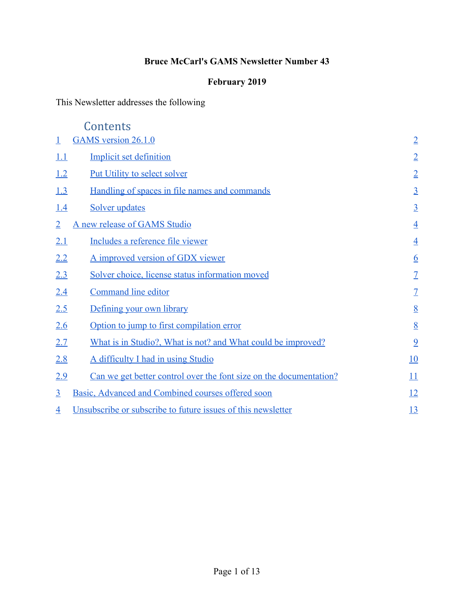# **Bruce McCarl's GAMS Newsletter Number 43**

#### **February 2019**

This Newsletter addresses the following

|                | Contents                                                           |                |
|----------------|--------------------------------------------------------------------|----------------|
| $\mathbf 1$    | GAMS version 26.1.0                                                | $\overline{2}$ |
| <u>1.1</u>     | <b>Implicit set definition</b>                                     | $\overline{2}$ |
| <u>1.2</u>     | <b>Put Utility to select solver</b>                                | $\overline{2}$ |
| 1.3            | Handling of spaces in file names and commands                      | $\overline{3}$ |
| <u>1.4</u>     | <b>Solver updates</b>                                              | $\overline{3}$ |
| $\overline{2}$ | A new release of GAMS Studio                                       | $\overline{4}$ |
| <u>2.1</u>     | Includes a reference file viewer                                   | $\overline{4}$ |
| 2.2            | A improved version of GDX viewer                                   | <u>6</u>       |
| 2.3            | Solver choice, license status information moved                    | $\overline{1}$ |
| 2.4            | Command line editor                                                | $\overline{1}$ |
| 2.5            | Defining your own library                                          | 8              |
| 2.6            | Option to jump to first compilation error                          | 8              |
| 2.7            | What is in Studio?, What is not? and What could be improved?       | $\overline{9}$ |
| 2.8            | A difficulty I had in using Studio                                 | <u>10</u>      |
| 2.9            | Can we get better control over the font size on the documentation? | <u> 11</u>     |
| $\overline{3}$ | Basic, Advanced and Combined courses offered soon                  | <u>12</u>      |
| 4              | Unsubscribe or subscribe to future issues of this newsletter       | <u>13</u>      |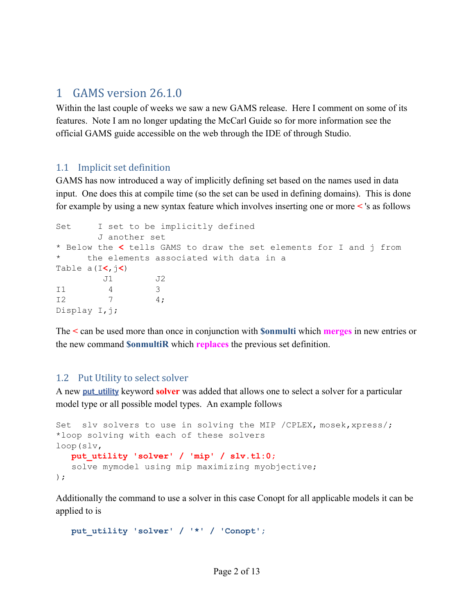# <span id="page-1-0"></span>1 GAMS version 26.1.0

Within the last couple of weeks we saw a new GAMS release. Here I comment on some of its features. Note I am no longer updating the McCarl Guide so for more information see the official GAMS guide accessible on the web through the IDE of through Studio.

# <span id="page-1-1"></span>1.1 Implicit set definition

GAMS has now introduced a way of implicitly defining set based on the names used in data input. One does this at compile time (so the set can be used in defining domains). This is done for example by using a new syntax feature which involves inserting one or more **<** 's as follows

```
Set I set to be implicitly defined
      J another set
* Below the < tells GAMS to draw the set elements for I and j from
* the elements associated with data in a
Table a(I<,j<)
       J1 J2
I1 4 3
I2 7 4;
Display I,j;
```
The **<** can be used more than once in conjunction with **\$onmulti** which **merges** in new entries or the new command **\$onmultiR** which **replaces** the previous set definition.

# <span id="page-1-2"></span>1.2 Put Utility to select solver

A new **[put\\_utility](https://www.gams.com/26/docs/UG_Put.html#UG_Put_PutUtil)** keyword **solver** was added that allows one to select a solver for a particular model type or all possible model types. An example follows

```
Set slv solvers to use in solving the MIP / CPLEX, mosek, xpress/;
*loop solving with each of these solvers
loop(slv,
   put_utility 'solver' / 'mip' / slv.tl:0;
   solve mymodel using mip maximizing myobjective;
);
```
Additionally the command to use a solver in this case Conopt for all applicable models it can be applied to is

```
put_utility 'solver' / '*' / 'Conopt';
```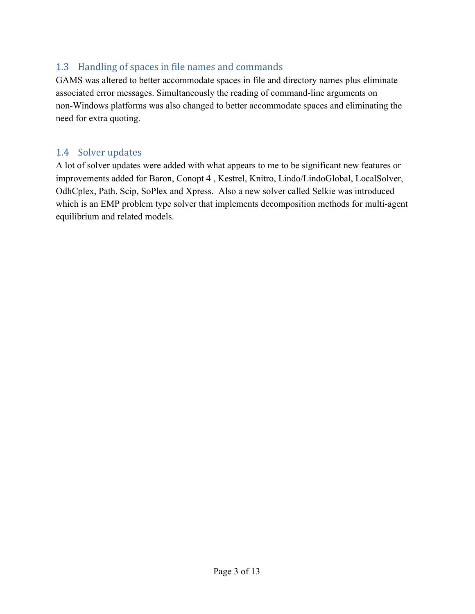# <span id="page-2-0"></span>1.3 Handling of spaces in file names and commands

GAMS was altered to better accommodate spaces in file and directory names plus eliminate associated error messages. Simultaneously the reading of command-line arguments on non-Windows platforms was also changed to better accommodate spaces and eliminating the need for extra quoting.

# <span id="page-2-1"></span>1.4 Solver updates

A lot of solver updates were added with what appears to me to be significant new features or improvements added for Baron, Conopt 4 , Kestrel, Knitro, Lindo/LindoGlobal, LocalSolver, OdhCplex, Path, Scip, SoPlex and Xpress. Also a new solver called Selkie was introduced which is an EMP problem type solver that implements decomposition methods for multi-agent equilibrium and related models.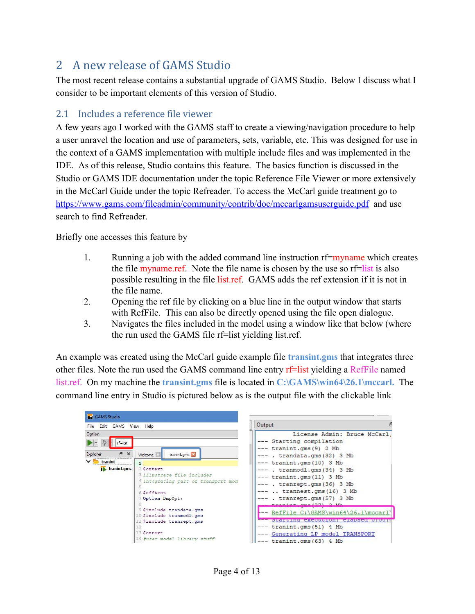# <span id="page-3-0"></span>2 A new release of GAMS Studio

The most recent release contains a substantial upgrade of GAMS Studio. Below I discuss what I consider to be important elements of this version of Studio.

#### <span id="page-3-1"></span>2.1 Includes a reference file viewer

A few years ago I worked with the GAMS staff to create a viewing/navigation procedure to help a user unravel the location and use of parameters, sets, variable, etc. This was designed for use in the context of a GAMS implementation with multiple include files and was implemented in the IDE. As of this release, Studio contains this feature. The basics function is discussed in the Studio or GAMS IDE documentation under the topic Reference File Viewer or more extensively in the McCarl Guide under the topic Refreader. To access the McCarl guide treatment go to <https://www.gams.com/fileadmin/community/contrib/doc/mccarlgamsuserguide.pdf>and use search to find Refreader.

Briefly one accesses this feature by

- 1. Running a job with the added command line instruction  $\mathbf{r}$ =myname which creates the file myname.ref. Note the file name is chosen by the use so rf=list is also possible resulting in the file list.ref. GAMS adds the ref extension if it is not in the file name.
- 2. Opening the ref file by clicking on a blue line in the output window that starts with RefFile. This can also be directly opened using the file open dialogue.
- 3. Navigates the files included in the model using a window like that below (where the run used the GAMS file rf=list yielding list.ref.

An example was created using the McCarl guide example file **transint.gms** that integrates three other files. Note the run used the GAMS command line entry rf=list yielding a RefFile named list.ref. On my machine the **transint.gms** file is located in **C:\GAMS\win64\26.1\mccarl.** The command line entry in Studio is pictured below as is the output file with the clickable link

| GAMS Studio                                                                                                               |                                                                                                                                                                                                                                                  |                                                                                                                                                                                                                                                                                                                                                                                                                             |
|---------------------------------------------------------------------------------------------------------------------------|--------------------------------------------------------------------------------------------------------------------------------------------------------------------------------------------------------------------------------------------------|-----------------------------------------------------------------------------------------------------------------------------------------------------------------------------------------------------------------------------------------------------------------------------------------------------------------------------------------------------------------------------------------------------------------------------|
| File Edit GAMS View Help                                                                                                  |                                                                                                                                                                                                                                                  | Output                                                                                                                                                                                                                                                                                                                                                                                                                      |
| Option<br>$\blacktriangleright$<br>$\mathbb{G}$<br>$rf = list$<br>F x<br>Explorer<br>$\vee$ tranint<br><b>tranint.gms</b> | tranint.gms<br>Welcome <sup>[23]</sup><br>2 Sontext<br>3 illustrate file includes<br>4 Integrating part of transport mod<br>6 Sofftext<br>7 Option DmpOpt;<br>9 \$include trandata.gms<br>10 \$include tranmodl.gms<br>11 \$include tranrept.gms | License Admin: Bruce McCarl,<br>--- Starting compilation<br>$---$ tranint.gms $(9)$ 2 Mb<br>--- . trandata.gms (32) 3 Mb<br>$---$ tranint.gms $(10)$ 3 Mb<br>--- . tranmodl.gms(34) 3 Mb<br>--- tranint.gms(11) 3 Mb<br>. tranrept.gms(36) 3 Mb<br>$\ldots$ trannest.gms (16) 3 Mb<br>. tranrept.gms (57) 3 Mb<br>$+$ ranint $cma/271$ 2 Mh<br>RefFile C:\GAMS\win64\26.1\mccarl<br><u>DIGHTHIC CACONDION CIGOSCULUIUUI</u> |
|                                                                                                                           | 13 Sontext<br>14 #user model library stuff                                                                                                                                                                                                       | tranint.gms $(51)$ 4 Mb<br>Generating LP model TRANSPORT<br>$traint.cms(63)$ 4 Mb                                                                                                                                                                                                                                                                                                                                           |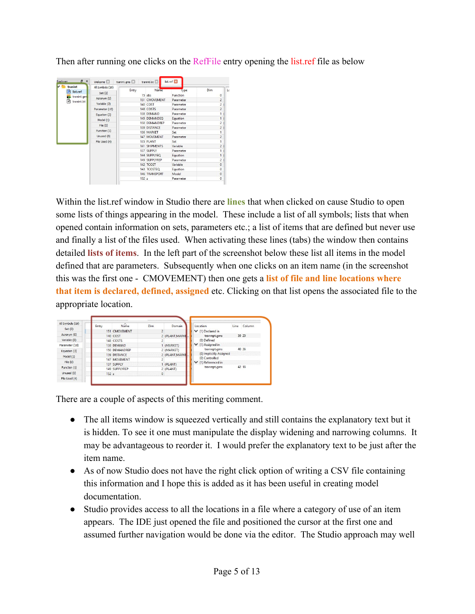| tranint              | All Symbols (19)                                                                    |           |                     |                 |                |
|----------------------|-------------------------------------------------------------------------------------|-----------|---------------------|-----------------|----------------|
| Ы<br>list.ref        | Set(2)                                                                              | Entry     | Name                | Type            | Dim            |
| <b>In tranint.gm</b> |                                                                                     |           | $15$ abs            | <b>Function</b> | $\Omega$       |
| ۱≣<br>tranint.lst    | Acronym (0)                                                                         |           | 151 CMOVEMENT       | Parameter       | $\overline{c}$ |
|                      | Variable (2)                                                                        |           | 140 COST            | Parameter       | $\overline{2}$ |
|                      | Parameter (10)                                                                      |           | 148 COSTS           | Parameter       | $\overline{a}$ |
|                      | 138 DEMAND<br>Equation (3)<br>145 DEMANDEO<br>Model (1)<br>150 DEMANDREP<br>File(0) | Parameter |                     |                 |                |
|                      |                                                                                     |           | Equation            |                 |                |
|                      |                                                                                     | Parameter | $\overline{2}$      |                 |                |
|                      |                                                                                     |           | <b>139 DISTANCE</b> | Parameter       | $\overline{c}$ |
|                      | Function (1)                                                                        |           | 136 MARKET          | Set             |                |
|                      | Unused (0)                                                                          |           | 147 MOVEMENT        | Parameter       | $\overline{c}$ |
|                      | File Used (4)                                                                       |           | 135 PLANT           | Set             |                |
|                      |                                                                                     |           | 141 SHIPMENTS       | Variable        | $\overline{a}$ |
|                      |                                                                                     |           | 137 SUPPLY          | Parameter       |                |
|                      |                                                                                     |           | 144 SUPPLYEO        | Equation        |                |
|                      |                                                                                     |           | 149 SUPPLYREP       | Parameter       | $\overline{c}$ |
|                      |                                                                                     |           | 142 TCOST           | Variable        | $\Omega$       |
|                      |                                                                                     |           | 143 TCOSTEQ         | Equation        | $\Omega$       |
|                      |                                                                                     |           | 146 TRANSPORT       | Model           | $\mathbf{0}$   |
|                      |                                                                                     | 152z      |                     | Parameter       | $\mathbf{0}$   |

Then after running one clicks on the RefFile entry opening the list ref file as below

Within the list.ref window in Studio there are **lines** that when clicked on cause Studio to open some lists of things appearing in the model. These include a list of all symbols; lists that when opened contain information on sets, parameters etc.; a list of items that are defined but never use and finally a list of the files used. When activating these lines (tabs) the window then contains detailed **lists of items**. In the left part of the screenshot below these list all items in the model defined that are parameters. Subsequently when one clicks on an item name (in the screenshot this was the first one - CMOVEMENT) then one gets a **list of file and line locations where that item is declared, defined, assigned** etc. Clicking on that list opens the associated file to the appropriate location.

| All Symbols (19) | Entry | Name                | <b>Dim</b> | Domain          | Location                | Line  | Column |
|------------------|-------|---------------------|------------|-----------------|-------------------------|-------|--------|
| Set(2)           |       |                     |            |                 |                         |       |        |
| Acronym (0)      |       | 151 CMOVEMENT       |            |                 | $\vee$ (1) Declared in  |       |        |
|                  |       | <b>140 COST</b>     |            | 2 (PLANT, MARKE | tranrept.gms            |       | 39 20  |
| Variable (2)     |       | 148 COSTS           |            |                 | (0) Defined             |       |        |
| Parameter (10)   |       | 138 DEMAND          |            | 1 (MARKET)      | $\vee$ (1) Assigned in  |       |        |
| Equation (3)     |       | 150 DEMANDREP       |            | 2 (MARKET)      | tranrept.gms            | 40 36 |        |
| Model (1)        |       | <b>139 DISTANCE</b> |            | 2 (PLANT, MARKE | (0) Implicitly Assigned |       |        |
|                  |       | 147 MOVEMENT        |            |                 | (0) Controlled          |       |        |
| File (0)         |       | 137 SUPPLY          |            | 1 (PLANT)       | ◆ (1) Referenced in     |       |        |
| Function (1)     |       | 149 SUPPLYREP       |            | 2 (PLANT)       | tranrept.gms            | 42 18 |        |
| Unused (0)       | 152z  |                     | 0          |                 |                         |       |        |
| File Used (4)    |       |                     |            |                 |                         |       |        |

There are a couple of aspects of this meriting comment.

- The all items window is squeezed vertically and still contains the explanatory text but it is hidden. To see it one must manipulate the display widening and narrowing columns. It may be advantageous to reorder it. I would prefer the explanatory text to be just after the item name.
- As of now Studio does not have the right click option of writing a CSV file containing this information and I hope this is added as it has been useful in creating model documentation.
- Studio provides access to all the locations in a file where a category of use of an item appears. The IDE just opened the file and positioned the cursor at the first one and assumed further navigation would be done via the editor. The Studio approach may well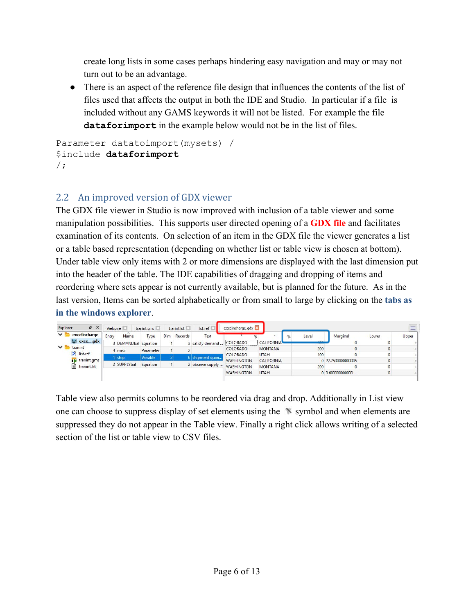create long lists in some cases perhaps hindering easy navigation and may or may not turn out to be an advantage.

● There is an aspect of the reference file design that influences the contents of the list of files used that affects the output in both the IDE and Studio. In particular if a file is included without any GAMS keywords it will not be listed. For example the file **dataforimport** in the example below would not be in the list of files.

```
Parameter datatoimport(mysets) /
$include dataforimport
/;
```
# <span id="page-5-0"></span>2.2 An improved version of GDX viewer

The GDX file viewer in Studio is now improved with inclusion of a table viewer and some manipulation possibilities. This supports user directed opening of a **GDX file** and facilitates examination of its contents. On selection of an item in the GDX file the viewer generates a list or a table based representation (depending on whether list or table view is chosen at bottom). Under table view only items with 2 or more dimensions are displayed with the last dimension put into the header of the table. The IDE capabilities of dragging and dropping of items and reordering where sets appear is not currently available, but is planned for the future. As in the last version, Items can be sorted alphabetically or from small to large by clicking on the **tabs as in the windows explorer**.

| $\equiv$ |              |                    |                      |                   | excelincharge.gdx | list.ref         | tranint.lst               |           | tranint.gms | Welcome <sup>[22]</sup> |                | F X             | Explorer |  |
|----------|--------------|--------------------|----------------------|-------------------|-------------------|------------------|---------------------------|-----------|-------------|-------------------------|----------------|-----------------|----------|--|
| Upper    | Lower        | Marginal           | Level                |                   |                   | Text             | Records                   | Dim       | Type        | Name                    | Entry          | excelincharge   | $\vee$ . |  |
|          |              |                    | $\sim$<br><b>TUU</b> | <b>CALIFORNIA</b> | COLORADO          | 3 satisfy demand | <b>DEMANDbal Equation</b> |           | excegdx     |                         |                |                 |          |  |
|          |              | 200                | <b>MONTANA</b>       | COLORADO          |                   |                  |                           | Parameter | misc        | 4                       | <b>tranint</b> | $\vee$ $\vdash$ |          |  |
|          |              | 100                | <b>UTAH</b>          | COLORADO          | 6 shipment quan   |                  |                           | Variable  | 1 ship      |                         | я<br>list.ref  |                 |          |  |
|          | 0            | 0 27.7500000000005 |                      | CALIFORNIA        | <b>WASHINGTON</b> |                  |                           |           |             |                         |                | tranint.gms     |          |  |
|          |              |                    | 200                  | <b>MONTANA</b>    | <b>WASHINGTON</b> | 2 observe supply |                           |           | Equation    | 2 SUPPLYbal             |                | tranint.lst     |          |  |
|          | $\mathbf{0}$ | $0$ 0.600000000000 |                      | <b>UTAH</b>       | <b>WASHINGTON</b> |                  |                           |           |             |                         |                |                 |          |  |
|          |              |                    |                      |                   |                   |                  |                           |           |             |                         |                |                 |          |  |

Table view also permits columns to be reordered via drag and drop. Additionally in List view one can choose to suppress display of set elements using the  $\rightarrow$  symbol and when elements are suppressed they do not appear in the Table view. Finally a right click allows writing of a selected section of the list or table view to CSV files.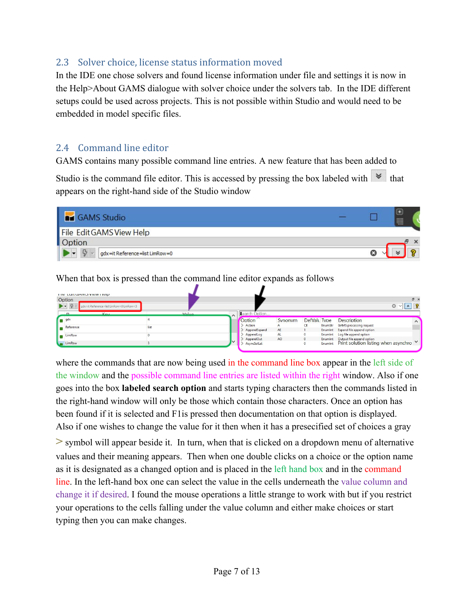# <span id="page-6-0"></span>2.3 Solver choice, license status information moved

In the IDE one chose solvers and found license information under file and settings it is now in the Help>About GAMS dialogue with solver choice under the solvers tab. In the IDE different setups could be used across projects. This is not possible within Studio and would need to be embedded in model specific files.

# <span id="page-6-1"></span>2.4 Command line editor

GAMS contains many possible command line entries. A new feature that has been added to

Studio is the command file editor. This is accessed by pressing the box labeled with  $\|\cdot\|$  that appears on the right-hand side of the Studio window



When that box is pressed than the command line editor expands as follows

| THE LUILUMING VIEW LIED<br>Option                                                |      |                   |                     |                |              |                                              | $B$ >            |
|----------------------------------------------------------------------------------|------|-------------------|---------------------|----------------|--------------|----------------------------------------------|------------------|
| $\blacktriangleright$ -<br>$\sqrt{3}$<br>gdx=it Reference=list LimRow=0 LimRow=3 |      |                   |                     |                |              | $\Omega$ v                                   | $A$ $\mathbb{R}$ |
| <b>CONTRACTOR</b><br>$V_{011}$                                                   |      | مبيادا<br>⌒       | Bearch Option       |                |              |                                              |                  |
| gdx                                                                              |      | <b>CONTRACTOR</b> | Option <sup>2</sup> | Synonym        | DefValu Type | Description                                  |                  |
| Reference                                                                        | list |                   | Action              |                | CE           | EnumStr GAMS processing request              |                  |
|                                                                                  |      |                   | AppendExpand        | AE             |              | Enumint Expand file append option            |                  |
| LimRow                                                                           |      |                   | AppendLog           | AL             |              | Enumint Log file append option               |                  |
|                                                                                  |      |                   | AppendOut           | A <sub>O</sub> |              | Enumint Output file append option            |                  |
| LimRow                                                                           |      |                   | AsyncSolLst         |                |              | Enumint Print solution listing when asynchro |                  |

where the commands that are now being used in the command line box appear in the left side of the window and the possible command line entries are listed within the right window. Also if one goes into the box **labeled search option** and starts typing characters then the commands listed in the right-hand window will only be those which contain those characters. Once an option has been found if it is selected and F1is pressed then documentation on that option is displayed. Also if one wishes to change the value for it then when it has a presecified set of choices a gray **>** symbol will appear beside it. In turn, when that is clicked on a dropdown menu of alternative values and their meaning appears. Then when one double clicks on a choice or the option name as it is designated as a changed option and is placed in the left hand box and in the command line. In the left-hand box one can select the value in the cells underneath the value column and change it if desired. I found the mouse operations a little strange to work with but if you restrict your operations to the cells falling under the value column and either make choices or start typing then you can make changes.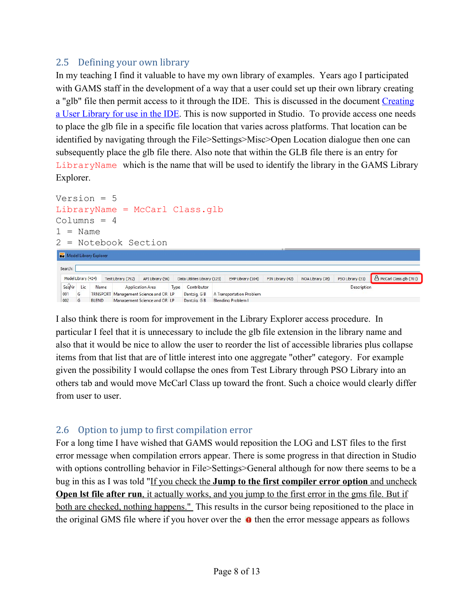# <span id="page-7-0"></span>2.5 Defining your own library

In my teaching I find it valuable to have my own library of examples. Years ago I participated with GAMS staff in the development of a way that a user could set up their own library creating a "glb" file then permit access to it through the IDE. This is discussed in the document [Creating](http://www.gams.com/mccarl/createlib.pdf) [a User Library for use in the IDE.](http://www.gams.com/mccarl/createlib.pdf) This is now supported in Studio. To provide access one needs to place the glb file in a specific file location that varies across platforms. That location can be identified by navigating through the File>Settings>Misc>Open Location dialogue then one can subsequently place the glb file there. Also note that within the GLB file there is an entry for LibraryName which is the name that will be used to identify the library in the GAMS Library Explorer.

```
Version = 5
LibraryName = McCarl Class.glb
Columns = 4
1 = Name
2 = Notebook Section
```

|                     | Model Library Explorer |              |                    |                                       |      |                              |  |                           |                  |                  |                    |                          |
|---------------------|------------------------|--------------|--------------------|---------------------------------------|------|------------------------------|--|---------------------------|------------------|------------------|--------------------|--------------------------|
| Search:             |                        |              |                    |                                       |      |                              |  |                           |                  |                  |                    |                          |
| Model Library (424) |                        |              | Test Library (792) | API Library (56)                      |      | Data Utilities Library (123) |  | EMP Library (104)         | FIN Library (42) | NOA Library (78) | PSO Library (31)   | B McCarl Class.glb (701) |
| SeaNr               | Lic                    | Name         |                    | <b>Application Area</b>               | Type | Contributor                  |  |                           |                  |                  | <b>Description</b> |                          |
| 001                 | G                      |              |                    | TRNSPORT Management Science and OR LP |      | Dantzig, G B                 |  | A Transportation Problem  |                  |                  |                    |                          |
| 002                 | G                      | <b>BLEND</b> |                    | Management Science and OR LP          |      | Dantzig, G B                 |  | <b>Blending Problem I</b> |                  |                  |                    |                          |

I also think there is room for improvement in the Library Explorer access procedure. In particular I feel that it is unnecessary to include the glb file extension in the library name and also that it would be nice to allow the user to reorder the list of accessible libraries plus collapse items from that list that are of little interest into one aggregate "other" category. For example given the possibility I would collapse the ones from Test Library through PSO Library into an others tab and would move McCarl Class up toward the front. Such a choice would clearly differ from user to user.

# <span id="page-7-1"></span>2.6 Option to jump to first compilation error

For a long time I have wished that GAMS would reposition the LOG and LST files to the first error message when compilation errors appear. There is some progress in that direction in Studio with options controlling behavior in File>Settings>General although for now there seems to be a bug in this as I was told "If you check the **Jump to the first compiler error option** and uncheck **Open lst file after run**, it actually works, and you jump to the first error in the gms file. But if both are checked, nothing happens." This results in the cursor being repositioned to the place in the original GMS file where if you hover over the  $\bullet$  then the error message appears as follows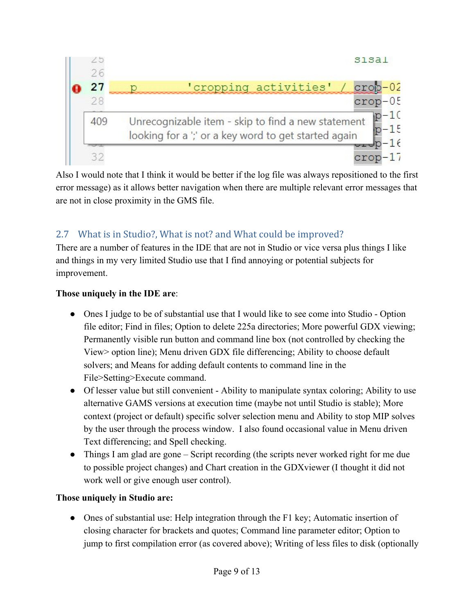

Also I would note that I think it would be better if the log file was always repositioned to the first error message) as it allows better navigation when there are multiple relevant error messages that are not in close proximity in the GMS file.

# <span id="page-8-0"></span>2.7 What is in Studio?, What is not? and What could be improved?

There are a number of features in the IDE that are not in Studio or vice versa plus things I like and things in my very limited Studio use that I find annoying or potential subjects for improvement.

# **Those uniquely in the IDE are**:

- Ones I judge to be of substantial use that I would like to see come into Studio Option file editor; Find in files; Option to delete 225a directories; More powerful GDX viewing; Permanently visible run button and command line box (not controlled by checking the View> option line); Menu driven GDX file differencing; Ability to choose default solvers; and Means for adding default contents to command line in the File>Setting>Execute command.
- Of lesser value but still convenient Ability to manipulate syntax coloring; Ability to use alternative GAMS versions at execution time (maybe not until Studio is stable); More context (project or default) specific solver selection menu and Ability to stop MIP solves by the user through the process window. I also found occasional value in Menu driven Text differencing; and Spell checking.
- Things I am glad are gone Script recording (the scripts never worked right for me due to possible project changes) and Chart creation in the GDXviewer (I thought it did not work well or give enough user control).

# **Those uniquely in Studio are:**

• Ones of substantial use: Help integration through the F1 key; Automatic insertion of closing character for brackets and quotes; Command line parameter editor; Option to jump to first compilation error (as covered above); Writing of less files to disk (optionally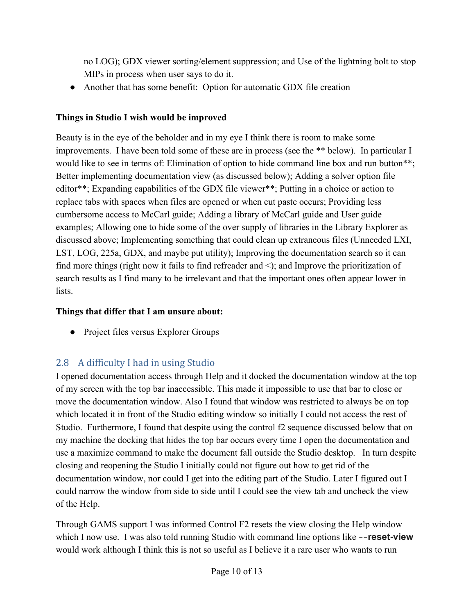no LOG); GDX viewer sorting/element suppression; and Use of the lightning bolt to stop MIPs in process when user says to do it.

• Another that has some benefit: Option for automatic GDX file creation

#### **Things in Studio I wish would be improved**

Beauty is in the eye of the beholder and in my eye I think there is room to make some improvements. I have been told some of these are in process (see the \*\* below). In particular I would like to see in terms of: Elimination of option to hide command line box and run button\*\*; Better implementing documentation view (as discussed below); Adding a solver option file editor\*\*; Expanding capabilities of the GDX file viewer\*\*; Putting in a choice or action to replace tabs with spaces when files are opened or when cut paste occurs; Providing less cumbersome access to McCarl guide; Adding a library of McCarl guide and User guide examples; Allowing one to hide some of the over supply of libraries in the Library Explorer as discussed above; Implementing something that could clean up extraneous files (Unneeded LXI, LST, LOG, 225a, GDX, and maybe put utility); Improving the documentation search so it can find more things (right now it fails to find refreader and <); and Improve the prioritization of search results as I find many to be irrelevant and that the important ones often appear lower in lists.

#### **Things that differ that I am unsure about:**

● Project files versus Explorer Groups

# <span id="page-9-0"></span>2.8 A difficulty I had in using Studio

I opened documentation access through Help and it docked the documentation window at the top of my screen with the top bar inaccessible. This made it impossible to use that bar to close or move the documentation window. Also I found that window was restricted to always be on top which located it in front of the Studio editing window so initially I could not access the rest of Studio. Furthermore, I found that despite using the control f2 sequence discussed below that on my machine the docking that hides the top bar occurs every time I open the documentation and use a maximize command to make the document fall outside the Studio desktop. In turn despite closing and reopening the Studio I initially could not figure out how to get rid of the documentation window, nor could I get into the editing part of the Studio. Later I figured out I could narrow the window from side to side until I could see the view tab and uncheck the view of the Help.

Through GAMS support I was informed Control F2 resets the view closing the Help window which I now use. I was also told running Studio with command line options like **--reset-view** would work although I think this is not so useful as I believe it a rare user who wants to run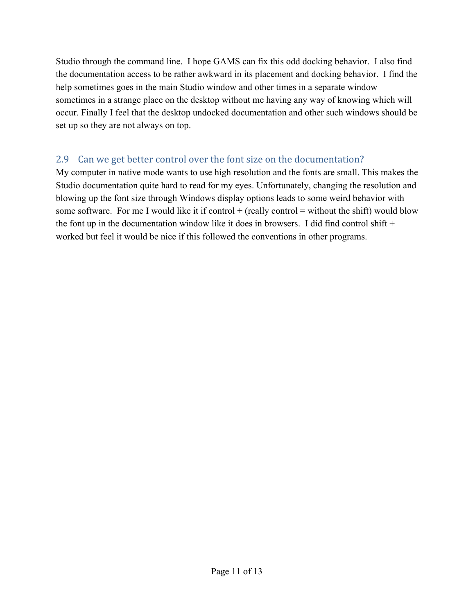Studio through the command line. I hope GAMS can fix this odd docking behavior. I also find the documentation access to be rather awkward in its placement and docking behavior. I find the help sometimes goes in the main Studio window and other times in a separate window sometimes in a strange place on the desktop without me having any way of knowing which will occur. Finally I feel that the desktop undocked documentation and other such windows should be set up so they are not always on top.

# <span id="page-10-0"></span>2.9 Can we get better control over the font size on the documentation?

My computer in native mode wants to use high resolution and the fonts are small. This makes the Studio documentation quite hard to read for my eyes. Unfortunately, changing the resolution and blowing up the font size through Windows display options leads to some weird behavior with some software. For me I would like it if control  $+$  (really control  $=$  without the shift) would blow the font up in the documentation window like it does in browsers. I did find control shift  $+$ worked but feel it would be nice if this followed the conventions in other programs.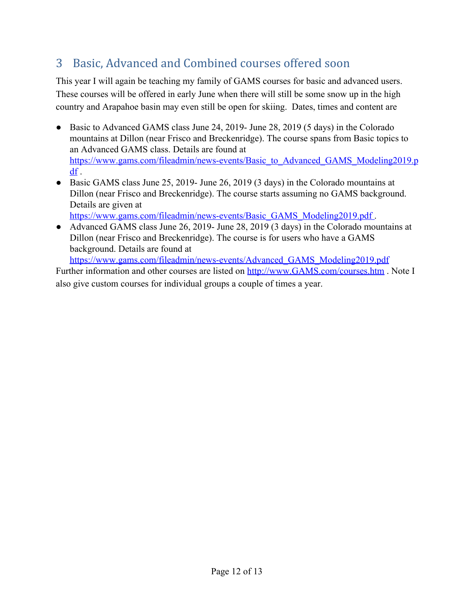# <span id="page-11-0"></span>3 Basic, Advanced and Combined courses offered soon

This year I will again be teaching my family of GAMS courses for basic and advanced users. These courses will be offered in early June when there will still be some snow up in the high country and Arapahoe basin may even still be open for skiing. Dates, times and content are

- Basic to Advanced GAMS class June 24, 2019- June 28, 2019 (5 days) in the Colorado mountains at Dillon (near Frisco and Breckenridge). The course spans from Basic topics to an Advanced GAMS class. Details are found at [https://www.gams.com/fileadmin/news-events/Basic\\_to\\_Advanced\\_GAMS\\_Modeling2019.p](https://www.gams.com/fileadmin/news-events/Basic_to_Advanced_GAMS_Modeling2019.pdf) [df](https://www.gams.com/fileadmin/news-events/Basic_to_Advanced_GAMS_Modeling2019.pdf) .
- Basic GAMS class June 25, 2019- June 26, 2019 (3 days) in the Colorado mountains at Dillon (near Frisco and Breckenridge). The course starts assuming no GAMS background. Details are given at [https://www.gams.com/fileadmin/news-events/Basic\\_GAMS\\_Modeling2019.pdf](https://www.gams.com/fileadmin/news-events/Basic_GAMS_Modeling2019.pdf).
- Advanced GAMS class June 26, 2019- June 28, 2019 (3 days) in the Colorado mountains at Dillon (near Frisco and Breckenridge). The course is for users who have a GAMS background. Details are found at

[https://www.gams.com/fileadmin/news-events/Advanced\\_GAMS\\_Modeling2019.pdf](https://www.gams.com/fileadmin/news-events/Advanced_GAMS_Modeling2019.pdf) Further information and other courses are listed on [http://www.GAMS.com/courses.htm](http://www.gams.com/courses.htm) . Note I also give custom courses for individual groups a couple of times a year.